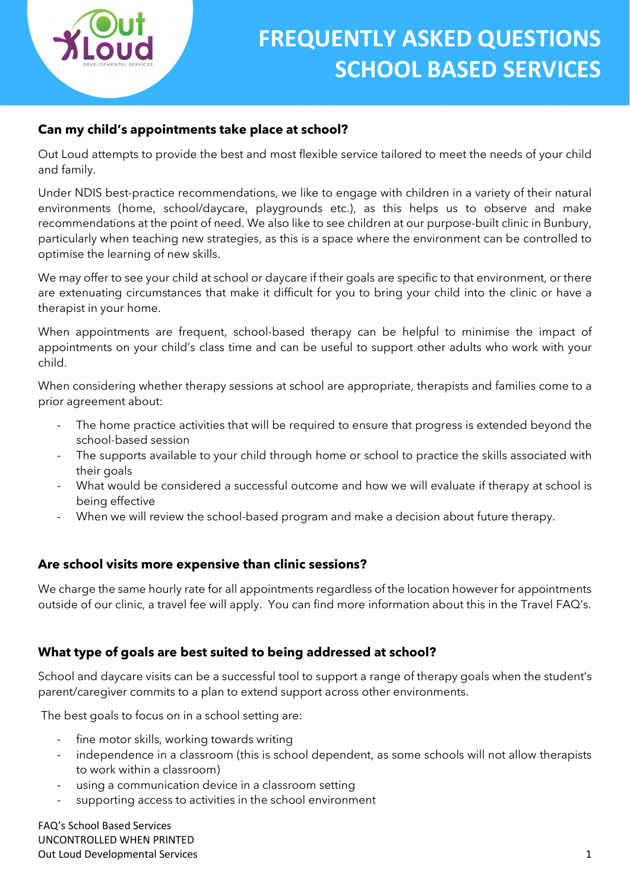

### Can my child's appointments take place at school?

Out Loud attempts to provide the best and most flexible service tailored to meet the needs of your child and family.

Under NDIS best-practice recommendations, we like to engage with children in a variety of their natural environments (home, school/daycare, playgrounds etc.), as this helps us to observe and make recommendations at the point of need. We also like to see children at our purpose-built clinic in Bunbury, particularly when teaching new strategies, as this is a space where the environment can be controlled to optimise the learning of new skills.

We may offer to see your child at school or daycare if their goals are specific to that environment, or there are extenuating circumstances that make it difficult for you to bring your child into the clinic or have a therapist in your home.

When appointments are frequent, school-based therapy can be helpful to minimise the impact of appointments on your child's class time and can be useful to support other adults who work with your child.

When considering whether therapy sessions at school are appropriate, therapists and families come to a prior agreement about:

- The home practice activities that will be required to ensure that progress is extended beyond the school-based session
- The supports available to your child through home or school to practice the skills associated with their goals
- What would be considered a successful outcome and how we will evaluate if therapy at school is being effective
- When we will review the school-based program and make a decision about future therapy.

#### Are school visits more expensive than clinic sessions?

We charge the same hourly rate for all appointments regardless of the location however for appointments outside of our clinic, a travel fee will apply. You can find more information about this in the Travel FAQ's.

#### What type of goals are best suited to being addressed at school?

School and daycare visits can be a successful tool to support a range of therapy goals when the student's parent/caregiver commits to a plan to extend support across other environments.

The best goals to focus on in a school setting are:

- fine motor skills, working towards writing
- independence in a classroom (this is school dependent, as some schools will not allow therapists to work within a classroom)
- using a communication device in a classroom setting
- supporting access to activities in the school environment

FAQ's School Based Services UNCONTROLLED WHEN PRINTED Out Loud Developmental Services 1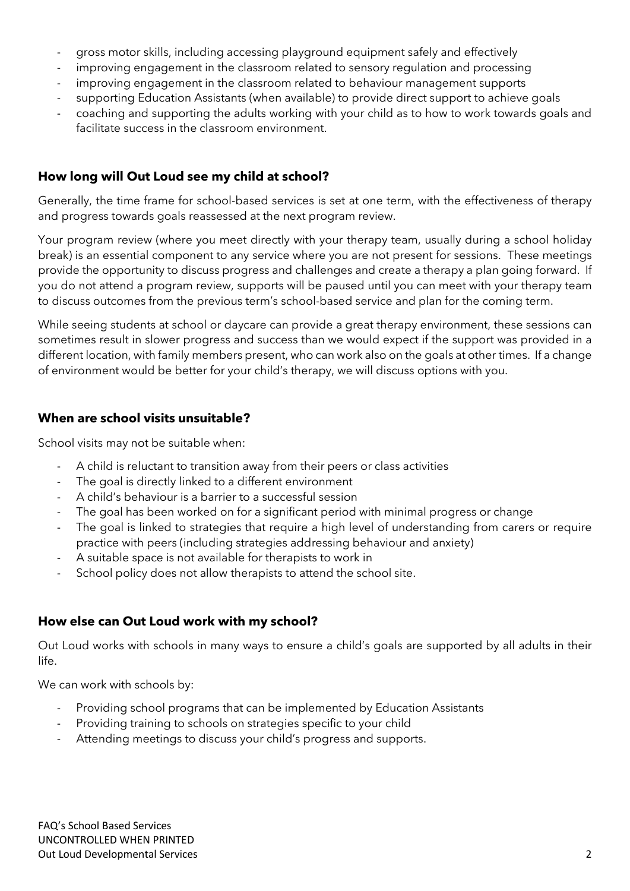- gross motor skills, including accessing playground equipment safely and effectively
- improving engagement in the classroom related to sensory regulation and processing
- improving engagement in the classroom related to behaviour management supports
- supporting Education Assistants (when available) to provide direct support to achieve goals
- coaching and supporting the adults working with your child as to how to work towards goals and facilitate success in the classroom environment.

#### How long will Out Loud see my child at school?

Generally, the time frame for school-based services is set at one term, with the effectiveness of therapy and progress towards goals reassessed at the next program review.

Your program review (where you meet directly with your therapy team, usually during a school holiday break) is an essential component to any service where you are not present for sessions. These meetings provide the opportunity to discuss progress and challenges and create a therapy a plan going forward. If you do not attend a program review, supports will be paused until you can meet with your therapy team to discuss outcomes from the previous term's school-based service and plan for the coming term.

While seeing students at school or daycare can provide a great therapy environment, these sessions can sometimes result in slower progress and success than we would expect if the support was provided in a different location, with family members present, who can work also on the goals at other times. If a change of environment would be better for your child's therapy, we will discuss options with you.

#### When are school visits unsuitable?

School visits may not be suitable when:

- A child is reluctant to transition away from their peers or class activities
- The goal is directly linked to a different environment
- A child's behaviour is a barrier to a successful session
- The goal has been worked on for a significant period with minimal progress or change
- The goal is linked to strategies that require a high level of understanding from carers or require practice with peers (including strategies addressing behaviour and anxiety)
- A suitable space is not available for therapists to work in
- School policy does not allow therapists to attend the school site.

#### How else can Out Loud work with my school?

Out Loud works with schools in many ways to ensure a child's goals are supported by all adults in their life.

We can work with schools by:

- Providing school programs that can be implemented by Education Assistants
- Providing training to schools on strategies specific to your child
- Attending meetings to discuss your child's progress and supports.